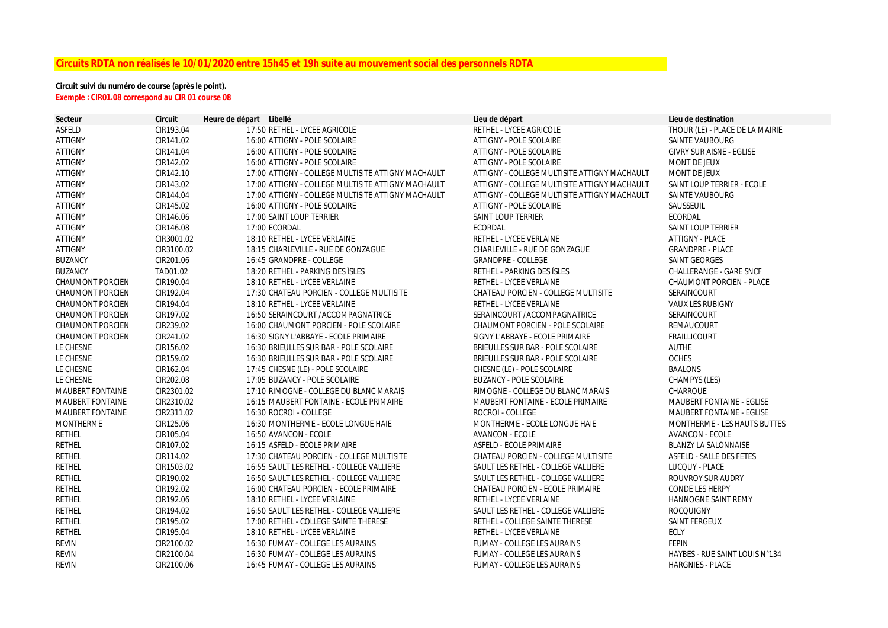# **Circuits RDTA non réalisés le 10/01/2020 entre 15h45 et 19h suite au mouvement social des personnels RDTA**

## **Circuit suivi du numéro de course (après le point). Exemple : CIR01.08 correspond au CIR 01 course 08**

| <b>Secteur</b>          | Circuit    | Heure de départ Libellé |                                                    | Lieu de départ                               | Lieu de destination              |
|-------------------------|------------|-------------------------|----------------------------------------------------|----------------------------------------------|----------------------------------|
| <b>ASFELD</b>           | CIR193.04  |                         | 17:50 RETHEL - LYCEE AGRICOLE                      | RETHEL - LYCEE AGRICOLE                      | THOUR (LE) - PLACE DE LA MAIRIE  |
| <b>ATTIGNY</b>          | CIR141.02  |                         | 16:00 ATTIGNY - POLE SCOLAIRE                      | ATTIGNY - POLE SCOLAIRE                      | SAINTE VAUBOURG                  |
| <b>ATTIGNY</b>          | CIR141.04  |                         | 16:00 ATTIGNY - POLE SCOLAIRE                      | ATTIGNY - POLE SCOLAIRE                      | <b>GIVRY SUR AISNE - EGLISE</b>  |
| <b>ATTIGNY</b>          | CIR142.02  |                         | 16:00 ATTIGNY - POLE SCOLAIRE                      | ATTIGNY - POLE SCOLAIRE                      | <b>MONT DE JEUX</b>              |
| <b>ATTIGNY</b>          | CIR142.10  |                         | 17:00 ATTIGNY - COLLEGE MULTISITE ATTIGNY MACHAULT | ATTIGNY - COLLEGE MULTISITE ATTIGNY MACHAULT | MONT DE JEUX                     |
| <b>ATTIGNY</b>          | CIR143.02  |                         | 17:00 ATTIGNY - COLLEGE MULTISITE ATTIGNY MACHAULT | ATTIGNY - COLLEGE MULTISITE ATTIGNY MACHAULT | SAINT LOUP TERRIER - ECOLE       |
| <b>ATTIGNY</b>          | CIR144.04  |                         | 17:00 ATTIGNY - COLLEGE MULTISITE ATTIGNY MACHAULT | ATTIGNY - COLLEGE MULTISITE ATTIGNY MACHAULT | SAINTE VAUBOURG                  |
| <b>ATTIGNY</b>          | CIR145.02  |                         | 16:00 ATTIGNY - POLE SCOLAIRE                      | ATTIGNY - POLE SCOLAIRE                      | SAUSSEUIL                        |
| <b>ATTIGNY</b>          | CIR146.06  |                         | 17:00 SAINT LOUP TERRIER                           | <b>SAINT LOUP TERRIER</b>                    | <b>ECORDAL</b>                   |
| <b>ATTIGNY</b>          | CIR146.08  |                         | 17:00 ECORDAL                                      | <b>ECORDAL</b>                               | SAINT LOUP TERRIER               |
| <b>ATTIGNY</b>          | CIR3001.02 |                         | 18:10 RETHEL - LYCEE VERLAINE                      | RETHEL - LYCEE VERLAINE                      | ATTIGNY - PLACE                  |
| <b>ATTIGNY</b>          | CIR3100.02 |                         | 18:15 CHARLEVILLE - RUE DE GONZAGUE                | CHARLEVILLE - RUE DE GONZAGUE                | <b>GRANDPRE - PLACE</b>          |
| <b>BUZANCY</b>          | CIR201.06  |                         | 16:45 GRANDPRE - COLLEGE                           | <b>GRANDPRE - COLLEGE</b>                    | <b>SAINT GEORGES</b>             |
| <b>BUZANCY</b>          | TAD01.02   |                         | 18:20 RETHEL - PARKING DES ISLES                   | RETHEL - PARKING DES ÎSLES                   | <b>CHALLERANGE - GARE SNCF</b>   |
| <b>CHAUMONT PORCIEN</b> | CIR190.04  |                         | 18:10 RETHEL - LYCEE VERLAINE                      | RETHEL - LYCEE VERLAINE                      | <b>CHAUMONT PORCIEN - PLACE</b>  |
| <b>CHAUMONT PORCIEN</b> | CIR192.04  |                         | 17:30 CHATEAU PORCIEN - COLLEGE MULTISITE          | CHATEAU PORCIEN - COLLEGE MULTISITE          | SERAINCOURT                      |
| <b>CHAUMONT PORCIEN</b> | CIR194.04  |                         | 18:10 RETHEL - LYCEE VERLAINE                      | RETHEL - LYCEE VERLAINE                      | <b>VAUX LES RUBIGNY</b>          |
| <b>CHAUMONT PORCIEN</b> | CIR197.02  |                         | 16:50 SERAINCOURT / ACCOMPAGNATRICE                | SERAINCOURT /ACCOMPAGNATRICE                 | <b>SERAINCOURT</b>               |
| <b>CHAUMONT PORCIEN</b> | CIR239.02  |                         | 16:00 CHAUMONT PORCIEN - POLE SCOLAIRE             | <b>CHAUMONT PORCIEN - POLE SCOLAIRE</b>      | <b>REMAUCOURT</b>                |
| <b>CHAUMONT PORCIEN</b> | CIR241.02  |                         | 16:30 SIGNY L'ABBAYE - ECOLE PRIMAIRE              | SIGNY L'ABBAYE - ECOLE PRIMAIRE              | <b>FRAILLICOURT</b>              |
| LE CHESNE               | CIR156.02  |                         | 16:30 BRIEULLES SUR BAR - POLE SCOLAIRE            | BRIEULLES SUR BAR - POLE SCOLAIRE            | <b>AUTHE</b>                     |
| LE CHESNE               | CIR159.02  |                         | 16:30 BRIEULLES SUR BAR - POLE SCOLAIRE            | BRIEULLES SUR BAR - POLE SCOLAIRE            | <b>OCHES</b>                     |
| LE CHESNE               | CIR162.04  |                         | 17:45 CHESNE (LE) - POLE SCOLAIRE                  | CHESNE (LE) - POLE SCOLAIRE                  | <b>BAALONS</b>                   |
| LE CHESNE               | CIR202.08  |                         | 17:05 BUZANCY - POLE SCOLAIRE                      | <b>BUZANCY - POLE SCOLAIRE</b>               | CHAMPYS (LES)                    |
| <b>MAUBERT FONTAINE</b> | CIR2301.02 |                         | 17:10 RIMOGNE - COLLEGE DU BLANC MARAIS            | RIMOGNE - COLLEGE DU BLANC MARAIS            | CHARROUE                         |
| <b>MAUBERT FONTAINE</b> | CIR2310.02 |                         | 16:15 MAUBERT FONTAINE - ECOLE PRIMAIRE            | <b>MAUBERT FONTAINE - ECOLE PRIMAIRE</b>     | <b>MAUBERT FONTAINE - EGLISE</b> |
| <b>MAUBERT FONTAINE</b> | CIR2311.02 |                         | 16:30 ROCROI - COLLEGE                             | ROCROI - COLLEGE                             | <b>MAUBERT FONTAINE - EGLISE</b> |
| <b>MONTHERME</b>        | CIR125.06  |                         | 16:30 MONTHERME - ECOLE LONGUE HAIE                | MONTHERME - ECOLE LONGUE HAIE                | MONTHERME - LES HAUTS BUTTES     |
| <b>RETHEL</b>           | CIR105.04  |                         | 16:50 AVANCON - ECOLE                              | <b>AVANCON - ECOLE</b>                       | <b>AVANCON - ECOLE</b>           |
| <b>RETHEL</b>           | CIR107.02  |                         | 16:15 ASFELD - ECOLE PRIMAIRE                      | <b>ASFELD - ECOLE PRIMAIRE</b>               | <b>BLANZY LA SALONNAISE</b>      |
| <b>RETHEL</b>           | CIR114.02  |                         | 17:30 CHATEAU PORCIEN - COLLEGE MULTISITE          | CHATEAU PORCIEN - COLLEGE MULTISITE          | ASFELD - SALLE DES FETES         |
| <b>RETHEL</b>           | CIR1503.02 |                         | 16:55 SAULT LES RETHEL - COLLEGE VALLIERE          | SAULT LES RETHEL - COLLEGE VALLIERE          | LUCQUY - PLACE                   |
| <b>RETHEL</b>           | CIR190.02  |                         | 16:50 SAULT LES RETHEL - COLLEGE VALLIERE          | SAULT LES RETHEL - COLLEGE VALLIERE          | <b>ROUVROY SUR AUDRY</b>         |
| <b>RETHEL</b>           | CIR192.02  |                         | 16:00 CHATEAU PORCIEN - ECOLE PRIMAIRE             | <b>CHATEAU PORCIEN - ECOLE PRIMAIRE</b>      | <b>CONDE LES HERPY</b>           |
| <b>RETHEL</b>           | CIR192.06  |                         | 18:10 RETHEL - LYCEE VERLAINE                      | RETHEL - LYCEE VERLAINE                      | <b>HANNOGNE SAINT REMY</b>       |
| <b>RETHEL</b>           | CIR194.02  |                         | 16:50 SAULT LES RETHEL - COLLEGE VALLIERE          | SAULT LES RETHEL - COLLEGE VALLIERE          | <b>ROCQUIGNY</b>                 |
| <b>RETHEL</b>           | CIR195.02  |                         | 17:00 RETHEL - COLLEGE SAINTE THERESE              | RETHEL - COLLEGE SAINTE THERESE              | SAINT FERGEUX                    |
| <b>RETHEL</b>           | CIR195.04  |                         | 18:10 RETHEL - LYCEE VERLAINE                      | RETHEL - LYCEE VERLAINE                      | ECLY                             |
| <b>REVIN</b>            | CIR2100.02 |                         | 16:30 FUMAY - COLLEGE LES AURAINS                  | <b>FUMAY - COLLEGE LES AURAINS</b>           | <b>FEPIN</b>                     |
| <b>REVIN</b>            | CIR2100.04 |                         | 16:30 FUMAY - COLLEGE LES AURAINS                  | <b>FUMAY - COLLEGE LES AURAINS</b>           | HAYBES - RUE SAINT LOUIS N°134   |
| <b>REVIN</b>            | CIR2100.06 |                         | 16:45 FUMAY - COLLEGE LES AURAINS                  | <b>FUMAY - COLLEGE LES AURAINS</b>           | <b>HARGNIES - PLACE</b>          |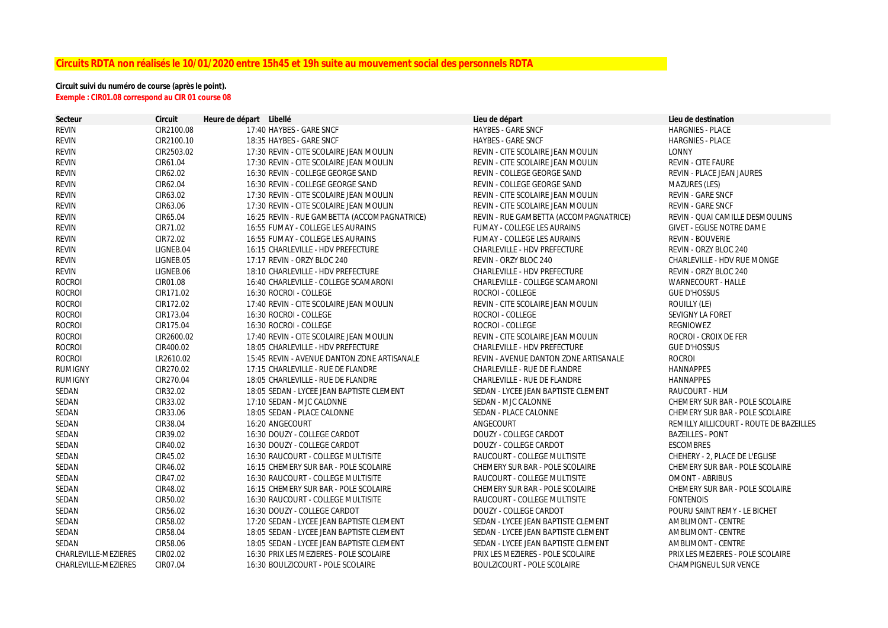# **Circuits RDTA non réalisés le 10/01/2020 entre 15h45 et 19h suite au mouvement social des personnels RDTA**

## **Circuit suivi du numéro de course (après le point). Exemple : CIR01.08 correspond au CIR 01 course 08**

| Secteur              | <b>Circuit</b> | Heure de départ Libellé                      | Lieu de départ                         | Lieu de destination                     |
|----------------------|----------------|----------------------------------------------|----------------------------------------|-----------------------------------------|
| <b>REVIN</b>         | CIR2100.08     | 17:40 HAYBES - GARE SNCF                     | <b>HAYBES - GARE SNCF</b>              | <b>HARGNIES - PLACE</b>                 |
| <b>REVIN</b>         | CIR2100.10     | 18:35 HAYBES - GARE SNCF                     | <b>HAYBES - GARE SNCF</b>              | <b>HARGNIES - PLACE</b>                 |
| <b>REVIN</b>         | CIR2503.02     | 17:30 REVIN - CITE SCOLAIRE JEAN MOULIN      | REVIN - CITE SCOLAIRE JEAN MOULIN      | <b>LONNY</b>                            |
| <b>REVIN</b>         | CIR61.04       | 17:30 REVIN - CITE SCOLAIRE JEAN MOULIN      | REVIN - CITE SCOLAIRE JEAN MOULIN      | <b>REVIN - CITE FAURE</b>               |
| <b>REVIN</b>         | CIR62.02       | 16:30 REVIN - COLLEGE GEORGE SAND            | REVIN - COLLEGE GEORGE SAND            | <b>REVIN - PLACE JEAN JAURES</b>        |
| <b>REVIN</b>         | CIR62.04       | 16:30 REVIN - COLLEGE GEORGE SAND            | REVIN - COLLEGE GEORGE SAND            | <b>MAZURES (LES)</b>                    |
| <b>REVIN</b>         | CIR63.02       | 17:30 REVIN - CITE SCOLAIRE JEAN MOULIN      | REVIN - CITE SCOLAIRE JEAN MOULIN      | REVIN - GARE SNCF                       |
| <b>REVIN</b>         | CIR63.06       | 17:30 REVIN - CITE SCOLAIRE JEAN MOULIN      | REVIN - CITE SCOLAIRE JEAN MOULIN      | <b>REVIN - GARE SNCF</b>                |
| <b>REVIN</b>         | CIR65.04       | 16:25 REVIN - RUE GAMBETTA (ACCOMPAGNATRICE) | REVIN - RUE GAMBETTA (ACCOMPAGNATRICE) | REVIN - QUAI CAMILLE DESMOULINS         |
| <b>REVIN</b>         | CIR71.02       | 16:55 FUMAY - COLLEGE LES AURAINS            | FUMAY - COLLEGE LES AURAINS            | <b>GIVET - EGLISE NOTRE DAME</b>        |
| <b>REVIN</b>         | CIR72.02       | 16:55 FUMAY - COLLEGE LES AURAINS            | <b>FUMAY - COLLEGE LES AURAINS</b>     | <b>REVIN - BOUVERIE</b>                 |
| <b>REVIN</b>         | LIGNEB.04      | 16:15 CHARLEVILLE - HDV PREFECTURE           | <b>CHARLEVILLE - HDV PREFECTURE</b>    | REVIN - ORZY BLOC 240                   |
| <b>REVIN</b>         | LIGNEB.05      | 17:17 REVIN - ORZY BLOC 240                  | REVIN - ORZY BLOC 240                  | <b>CHARLEVILLE - HDV RUE MONGE</b>      |
| REVIN                | LIGNEB.06      | 18:10 CHARLEVILLE - HDV PREFECTURE           | <b>CHARLEVILLE - HDV PREFECTURE</b>    | REVIN - ORZY BLOC 240                   |
| <b>ROCROI</b>        | CIR01.08       | 16:40 CHARLEVILLE - COLLEGE SCAMARONI        | CHARLEVILLE - COLLEGE SCAMARONI        | <b>WARNECOURT - HALLE</b>               |
| <b>ROCROI</b>        | CIR171.02      | 16:30 ROCROI - COLLEGE                       | ROCROI - COLLEGE                       | <b>GUE D'HOSSUS</b>                     |
| <b>ROCROI</b>        | CIR172.02      | 17:40 REVIN - CITE SCOLAIRE JEAN MOULIN      | REVIN - CITE SCOLAIRE JEAN MOULIN      | ROUILLY (LE)                            |
| <b>ROCROI</b>        | CIR173.04      | 16:30 ROCROI - COLLEGE                       | ROCROI - COLLEGE                       | SEVIGNY LA FORET                        |
| <b>ROCROI</b>        | CIR175.04      | 16:30 ROCROI - COLLEGE                       | ROCROI - COLLEGE                       | <b>REGNIOWEZ</b>                        |
| <b>ROCROI</b>        | CIR2600.02     | 17:40 REVIN - CITE SCOLAIRE JEAN MOULIN      | REVIN - CITE SCOLAIRE JEAN MOULIN      | ROCROI - CROIX DE FER                   |
| <b>ROCROI</b>        | CIR400.02      | 18:05 CHARLEVILLE - HDV PREFECTURE           | <b>CHARLEVILLE - HDV PREFECTURE</b>    | <b>GUE D'HOSSUS</b>                     |
| <b>ROCROI</b>        | LR2610.02      | 15:45 REVIN - AVENUE DANTON ZONE ARTISANALE  | REVIN - AVENUE DANTON ZONE ARTISANALE  | <b>ROCROI</b>                           |
| <b>RUMIGNY</b>       | CIR270.02      | 17:15 CHARLEVILLE - RUE DE FLANDRE           | <b>CHARLEVILLE - RUE DE FLANDRE</b>    | <b>HANNAPPES</b>                        |
| <b>RUMIGNY</b>       | CIR270.04      | 18:05 CHARLEVILLE - RUE DE FLANDRE           | <b>CHARLEVILLE - RUE DE FLANDRE</b>    | <b>HANNAPPES</b>                        |
| SEDAN                | CIR32.02       | 18:05 SEDAN - LYCEE JEAN BAPTISTE CLEMENT    | SEDAN - LYCEE JEAN BAPTISTE CLEMENT    | RAUCOURT - HLM                          |
| SEDAN                | CIR33.02       | 17:10 SEDAN - MJC CALONNE                    | SEDAN - MJC CALONNE                    | CHEMERY SUR BAR - POLE SCOLAIRE         |
| SEDAN                | CIR33.06       | 18:05 SEDAN - PLACE CALONNE                  | SEDAN - PLACE CALONNE                  | CHEMERY SUR BAR - POLE SCOLAIRE         |
| SEDAN                | CIR38.04       | 16:20 ANGECOURT                              | ANGECOURT                              | REMILLY AILLICOURT - ROUTE DE BAZEILLES |
| SEDAN                | CIR39.02       | 16:30 DOUZY - COLLEGE CARDOT                 | DOUZY - COLLEGE CARDOT                 | <b>BAZEILLES - PONT</b>                 |
| SEDAN                | CIR40.02       | 16:30 DOUZY - COLLEGE CARDOT                 | DOUZY - COLLEGE CARDOT                 | <b>ESCOMBRES</b>                        |
| SEDAN                | CIR45.02       | 16:30 RAUCOURT - COLLEGE MULTISITE           | RAUCOURT - COLLEGE MULTISITE           | CHEHERY - 2, PLACE DE L'EGLISE          |
| SEDAN                | CIR46.02       | 16:15 CHEMERY SUR BAR - POLE SCOLAIRE        | CHEMERY SUR BAR - POLE SCOLAIRE        | CHEMERY SUR BAR - POLE SCOLAIRE         |
| SEDAN                | CIR47.02       | 16:30 RAUCOURT - COLLEGE MULTISITE           | RAUCOURT - COLLEGE MULTISITE           | <b>OMONT - ABRIBUS</b>                  |
| SEDAN                | CIR48.02       | 16:15 CHEMERY SUR BAR - POLE SCOLAIRE        | CHEMERY SUR BAR - POLE SCOLAIRE        | CHEMERY SUR BAR - POLE SCOLAIRE         |
| SEDAN                | CIR50.02       | 16:30 RAUCOURT - COLLEGE MULTISITE           | RAUCOURT - COLLEGE MULTISITE           | <b>FONTENOIS</b>                        |
| SEDAN                | CIR56.02       | 16:30 DOUZY - COLLEGE CARDOT                 | DOUZY - COLLEGE CARDOT                 | POURU SAINT REMY - LE BICHET            |
| SEDAN                | CIR58.02       | 17:20 SEDAN - LYCEE JEAN BAPTISTE CLEMENT    | SEDAN - LYCEE JEAN BAPTISTE CLEMENT    | AMBLIMONT - CENTRE                      |
| SEDAN                | CIR58.04       | 18:05 SEDAN - LYCEE JEAN BAPTISTE CLEMENT    | SEDAN - LYCEE JEAN BAPTISTE CLEMENT    | AMBLIMONT - CENTRE                      |
| SEDAN                | CIR58.06       | 18:05 SEDAN - LYCEE JEAN BAPTISTE CLEMENT    | SEDAN - LYCEE JEAN BAPTISTE CLEMENT    | AMBLIMONT - CENTRE                      |
| CHARLEVILLE-MEZIERES | CIR02.02       | 16:30 PRIX LES MEZIERES - POLE SCOLAIRE      | PRIX LES MEZIERES - POLE SCOLAIRE      | PRIX LES MEZIERES - POLE SCOLAIRE       |
| CHARLEVILLE-MEZIERES | CIR07.04       | 16:30 BOULZICOURT - POLE SCOLAIRE            | <b>BOULZICOURT - POLE SCOLAIRE</b>     | <b>CHAMPIGNEUL SUR VENCE</b>            |